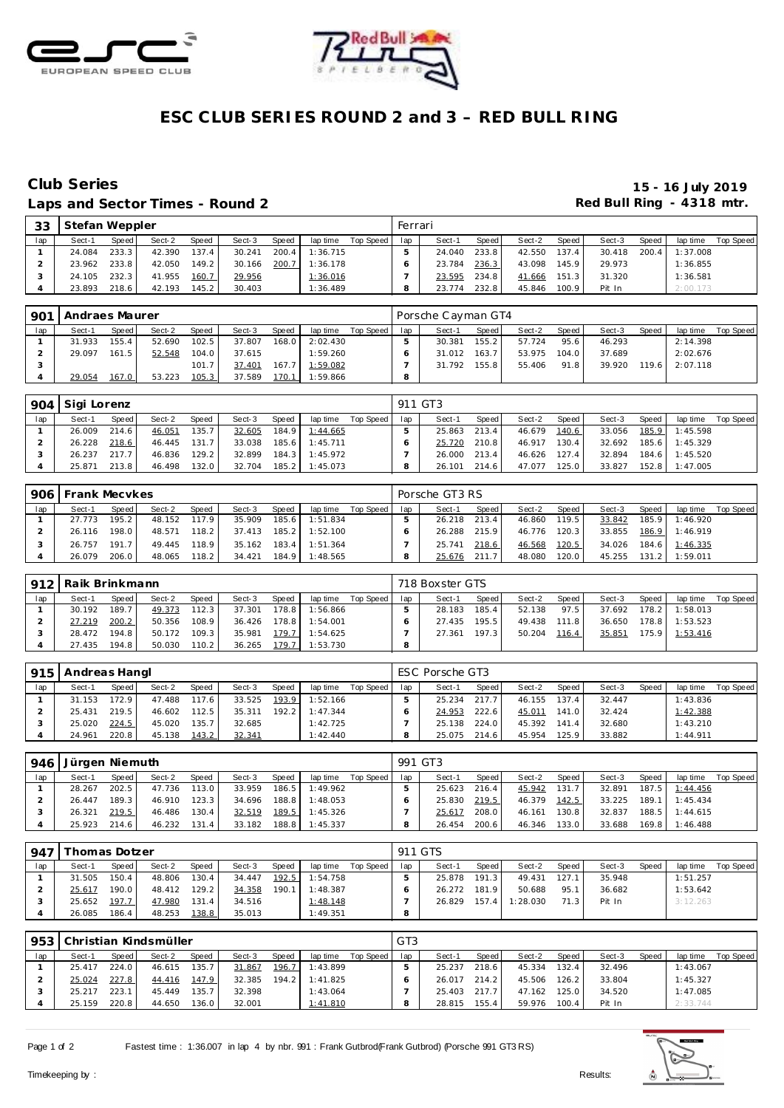



## **ESC CLUB SERIES ROUND 2 and 3 – RED BULL RING**

#### Laps and Sector Times - Round 2 **Red Bull Ring - 4318 mtr. Red Bull Ring - 4318 mtr.**

# **Club Series 15 - 16 July 2019**

| 33  | Stefan Weppler |       |        |              |        |       |          |           | Ferrari |        |       |        |       |        |       |          |           |
|-----|----------------|-------|--------|--------------|--------|-------|----------|-----------|---------|--------|-------|--------|-------|--------|-------|----------|-----------|
| lap | Sect-1         | Speed | Sect-2 | <b>Speed</b> | Sect-3 | Speed | lap time | Top Speed | lap     | Sect-1 | Speed | Sect-2 | Speed | Sect-3 | Speed | lap time | Top Speed |
|     | 24.084         | 233.3 | 42.390 | 137.4        | 30.241 | 200.4 | 1:36.715 |           |         | 24.040 | 233.8 | 42.550 | 137.4 | 30.418 | 200.4 | 1:37.008 |           |
|     | 23.962         | 233.8 | 42.050 | 149.2        | 30.166 | 200.7 | 1:36.178 |           |         | 23.784 | 236.3 | 43.098 | 145.9 | 29.973 |       | 1:36.855 |           |
|     | 24.105         | 232.3 | 41.955 | 160.7        | 29.956 |       | 1:36.016 |           |         | 23.595 | 234.8 | 41.666 | 151.3 | 31.320 |       | 1:36.581 |           |
|     | 23.893         | 218.6 | 42.193 | 145.2        | 30.403 |       | 1:36.489 |           |         | 23.774 | 232.8 | 45.846 | 100.9 | Pit In |       | 2:00.173 |           |

| 901 | <b>Andraes Maurer</b> |       |        |       |        |       |          |           |     | Porsche Cayman GT4 |       |        |       |        |       |                |           |
|-----|-----------------------|-------|--------|-------|--------|-------|----------|-----------|-----|--------------------|-------|--------|-------|--------|-------|----------------|-----------|
| lap | Sect-1                | Speed | Sect-2 | Speed | Sect-3 | Speed | lap time | Top Speed | lap | Sect-1             | Speed | Sect-2 | Speed | Sect-3 | Speed | lap time       | Top Speed |
|     | 31.933                | 155.4 | 52.690 | 102.5 | 37.807 | 168.0 | 2:02.430 |           |     | 30.381             | 155.2 | 57.724 | 95.6  | 46.293 |       | 2:14.398       |           |
|     | 29.097                | 161.5 | 52.548 | 104.0 | 37.615 |       | 1:59.260 |           |     | 31.012             | 163.7 | 53.975 | 104.0 | 37.689 |       | 2:02.676       |           |
|     |                       |       |        | 101.7 | 37.401 | 167.7 | 1:59.082 |           |     | 31.792             | 155.8 | 55.406 | 91.8  | 39.920 |       | 119.6 2:07.118 |           |
|     | 29.054                | 167.0 | 53.223 | 105.3 | 37.589 | 170.1 | 1:59.866 |           | 8   |                    |       |        |       |        |       |                |           |

|     | 904   Sigi Lorenz |              |        |       |        |       |          |           |     | 911 GT3 |                    |        |       |        |       |          |           |
|-----|-------------------|--------------|--------|-------|--------|-------|----------|-----------|-----|---------|--------------------|--------|-------|--------|-------|----------|-----------|
| lap | Sect-1            | <b>Speed</b> | Sect-2 | Speed | Sect-3 | Speed | lap time | Top Speed | lap | Sect-1  | Speed              | Sect-2 | Speed | Sect-3 | Speed | lap time | Top Speed |
|     | 26.009            | 214.6        | 46.051 | 135.7 | 32.605 | 184.9 | 1:44.665 |           |     | 25.863  | 213.4 <sub>1</sub> | 46.679 | 140.6 | 33.056 | 185.9 | 1:45.598 |           |
|     | 26.228            | 218.6        | 46.445 | 131.7 | 33.038 | 185.6 | 1:45.711 |           |     | 25.720  | 210.8              | 46.917 | 130.4 | 32.692 | 185.6 | 1:45.329 |           |
|     | 26.237            | 217.7        | 46.836 | 129.2 | 32.899 | 184.3 | 1:45.972 |           |     | 26.000  | 213.4              | 46.626 | 127.4 | 32.894 | 184.6 | 1:45.520 |           |
|     | 25.871            | 213.8        | 46.498 | 132.0 | 32.704 | 185.2 | 1:45.073 |           |     | 26.101  | 214.6              | 47.077 | 125.0 | 33.827 | 152.8 | 1:47.005 |           |

|     | 906 Frank Mecvkes |         |        |       |        |       |                         |           |     | Porsche GT3 RS |         |              |       |              |       |                       |           |
|-----|-------------------|---------|--------|-------|--------|-------|-------------------------|-----------|-----|----------------|---------|--------------|-------|--------------|-------|-----------------------|-----------|
| lap | Sect-1            | Speed I | Sect-2 | Speed | Sect-3 | Speed | lap time                | Top Speed | lap | Sect-1         | Speed I | Sect-2       | Speed | Sect-3       | Speed | lap time              | Top Speed |
|     | 27.773            | 195.21  | 48.152 | 117.9 | 35.909 |       | 185.6 1:51.834          |           |     | 26.218         | 213.4   | 46.860       | 119.5 | 33.842       | 185.9 | 1:46.920              |           |
|     | 26.116            | 198.0   | 48.571 | 118.2 |        |       | 37.413  185.2  1:52.100 |           |     | 26.288         | 215.9   | 46.776 120.3 |       |              |       | 33.855 186.9 1:46.919 |           |
|     | 26.757            | 191.7   | 49.445 | 118.9 | 35.162 |       | 183.4 1:51.364          |           |     | 25.741         | 218.6   | 46.568       | 120.5 | 34.026       | 184.6 | 1:46.335              |           |
|     | 26.079            | 206.0   | 48.065 | 118.2 | 34.421 |       | 184.9 1:48.565          |           |     | 25.676         | 211.7   | 48.080       | 120.0 | 45.255 131.2 |       | 1:59.011              |           |

|     | 912 Raik Brinkmann |       |        |              |        |       |          |           |     | 718 Boxster GTS |       |        |        |        |       |          |           |
|-----|--------------------|-------|--------|--------------|--------|-------|----------|-----------|-----|-----------------|-------|--------|--------|--------|-------|----------|-----------|
| lap | Sect-1             | Speed | Sect-2 | <b>Speed</b> | Sect-3 | Speed | lap time | Top Speed | lap | Sect-1          | Speed | Sect-2 | Speed, | Sect-3 | Speed | lap time | Top Speed |
|     | 30.192             | 189.7 | 49.373 | 112.3        | 37.301 | 178.8 | 1:56.866 |           |     | 28.183          | 185.4 | 52.138 | 97.5   | 37.692 | 178.2 | 1:58.013 |           |
|     | 27.219             | 200.2 | 50.356 | 108.9        | 36.426 | 178.8 | 1:54.001 |           |     | 27.435          | 195.5 | 49.438 | 111.8  | 36.650 | 178.8 | 1:53.523 |           |
|     | 28.472             | 194.8 | 50.172 | 109.3        | 35.981 | 179.7 | 1:54.625 |           |     | 27.361          | 197.3 | 50.204 | 116.4  | 35.851 | 175.9 | 1:53.416 |           |
|     | 27.435             | 194.8 | 50.030 | 110.2        | 36.265 | 179.7 | 1:53.730 |           | 8   |                 |       |        |        |        |       |          |           |

| 915 | Andreas Hangl |                    |        |       |        |       |          |           |     | ESC Porsche GT3 |       |        |       |        |       |          |           |
|-----|---------------|--------------------|--------|-------|--------|-------|----------|-----------|-----|-----------------|-------|--------|-------|--------|-------|----------|-----------|
| lap | Sect-1        | Speed              | Sect-2 | Speed | Sect-3 | Speed | lap time | Top Speed | lap | Sect-1          | Speed | Sect-2 | Speed | Sect-3 | Speed | lap time | Top Speed |
|     | 31.153        | 172.9 <sub>1</sub> | 47.488 | 117.6 | 33.525 | 193.9 | 1:52.166 |           |     | 25.234          | 2177  | 46.155 | 137.4 | 32.447 |       | 1:43.836 |           |
|     | 25.431        | 219.5              | 46.602 | 112.5 | 35.311 | 192.2 | 1:47.344 |           |     | 24.953          | 222.6 | 45.011 | 141.0 | 32.424 |       | 1:42.388 |           |
|     | 25.020        | 224.5              | 45.020 | 135.7 | 32.685 |       | 1:42.725 |           |     | 25.138          | 224.0 | 45.392 | 141.4 | 32.680 |       | 1:43.210 |           |
|     | 24.961        | 220.8              | 45.138 | 143.2 | 32.341 |       | 1:42.440 |           |     | 25.075          | 214.6 | 45.954 | 125.9 | 33.882 |       | 1:44.911 |           |

|     | 946   Jürgen Niemuth |       |        |       |        |       |          |           |     | 991 GT3 |       |        |       |        |       |                |           |
|-----|----------------------|-------|--------|-------|--------|-------|----------|-----------|-----|---------|-------|--------|-------|--------|-------|----------------|-----------|
| lap | Sect-1               | Speed | Sect-2 | Speed | Sect-3 | Speed | lap time | Top Speed | lap | Sect-1  | Speed | Sect-2 | Speed | Sect-3 | Speed | lap time       | Top Speed |
|     | 28.267               | 202.5 | 47.736 | 113.0 | 33.959 | 186.5 | 1:49.962 |           |     | 25.623  | 216.4 | 45.942 | 131.7 | 32.891 |       | 187.5 1:44.456 |           |
|     | 26.447               | 189.3 | 46.910 | 123.3 | 34.696 | 188.8 | 1:48.053 |           |     | 25.830  | 219.5 | 46.379 | 142.5 | 33.225 | 189.1 | 1:45.434       |           |
|     | 26.321               | 219.5 | 46.486 | 130.4 | 32.519 | 189.5 | 1:45.326 |           |     | 25.617  | 208.0 | 46.161 | 130.8 | 32.837 | 188.5 | 1:44.615       |           |
|     | 25.923               | 214.6 | 46.232 | 131.4 | 33.182 | 188.8 | 1:45.337 |           |     | 26.454  | 200.6 | 46.346 | 133.0 | 33.688 | 169.8 | 1:46.488       |           |

| $-947$ | Thomas Dotzer |       |        |       |        |       |          |           |     | 911 GTS |       |          |       |        |       |          |           |
|--------|---------------|-------|--------|-------|--------|-------|----------|-----------|-----|---------|-------|----------|-------|--------|-------|----------|-----------|
| lap    | Sect-1        | Speed | Sect-2 | Speed | Sect-3 | Speed | lap time | Top Speed | lap | Sect-1  | Speed | Sect-2   | Speed | Sect-3 | Speed | lap time | Top Speed |
|        | 31.505        | 150.4 | 48.806 | 130.4 | 34.447 | 192.5 | 1:54.758 |           |     | 25.878  | 191.3 | 49.431   | 127.1 | 35.948 |       | 1:51.257 |           |
|        | 25.617        | 190.0 | 48.412 | 129.2 | 34.358 | 190.1 | 1:48.387 |           |     | 26.272  | 181.9 | 50.688   | 95.1  | 36.682 |       | 1:53.642 |           |
|        | 25.652        | 197.7 | 47.980 | 131.4 | 34.516 |       | 1:48.148 |           |     | 26.829  | 157.4 | 1:28.030 | 71.3  | Pit In |       | 3:12.263 |           |
|        | 26.085        | 186.4 | 48.253 | 138.8 | 35.013 |       | 1:49.351 |           |     |         |       |          |       |        |       |          |           |

| 953 |        |         | Christian Kindsmüller |       |        |       |          |           | GT <sub>3</sub> |        |       |        |       |        |              |          |           |
|-----|--------|---------|-----------------------|-------|--------|-------|----------|-----------|-----------------|--------|-------|--------|-------|--------|--------------|----------|-----------|
| lap | Sect-1 | Speed I | Sect-2                | Speed | Sect-3 | Speed | lap time | Top Speed | lap             | Sect-1 | Speed | Sect-2 | Speed | Sect-3 | <b>Speed</b> | lap time | Top Speed |
|     | 25.417 | 224.0   | 46.615                | 135.7 | 31.867 | 196.7 | 1:43.899 |           |                 | 25.237 | 218.6 | 45.334 | 132.4 | 32.496 |              | 1:43.067 |           |
|     | 25.024 | 227.8   | 44.416                | 147.9 | 32.385 | 194.2 | 1:41.825 |           |                 | 26.017 | 214.2 | 45.506 | 126.2 | 33.804 |              | 1:45.327 |           |
|     | 25.217 | 223.1   | 45.449                | 135.7 | 32.398 |       | 1:43.064 |           |                 | 25.403 | 217.7 | 47.162 | 125.0 | 34.520 |              | 1:47.085 |           |
|     | 25.159 | 220.8   | 44.650                | 136.0 | 32.001 |       | 1:41.810 |           |                 | 28.815 | 155.4 | 59.976 | 100.4 | Pit In |              | 2:33.744 |           |